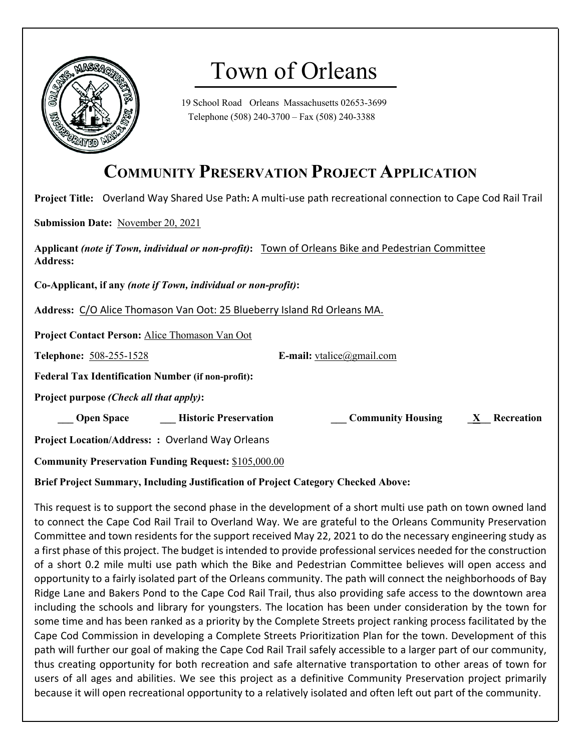

# Town of Orleans

19 School Road Orleans Massachusetts 02653-3699 Telephone (508) 240-3700 – Fax (508) 240-3388

## **COMMUNITY PRESERVATION PROJECT APPLICATION**

**Project Title:** Overland Way Shared Use Path**:** A multi-use path recreational connection to Cape Cod Rail Trail

**Submission Date:** November 20, 2021

**Applicant** *(note if Town, individual or non-profit)***:** Town of Orleans Bike and Pedestrian Committee **Address:** 

**Co-Applicant, if any** *(note if Town, individual or non-profit)***:** 

**Address:** C/O Alice Thomason Van Oot: 25 Blueberry Island Rd Orleans MA.

**Project Contact Person:** Alice Thomason Van Oot

**Telephone:** 508-255-1528 **E-mail:** vtalice@gmail.com

**Federal Tax Identification Number (if non-profit):** 

**Project purpose** *(Check all that apply)***:**

 **Community Housing Transform Space 2.1 Historic Preservation Community Housing X Recreation** 

**Project Location/Address: :** Overland Way Orleans

**Community Preservation Funding Request:** \$105,000.00

**Brief Project Summary, Including Justification of Project Category Checked Above:** 

This request is to support the second phase in the development of a short multi use path on town owned land to connect the Cape Cod Rail Trail to Overland Way. We are grateful to the Orleans Community Preservation Committee and town residents for the support received May 22, 2021 to do the necessary engineering study as a first phase of this project. The budget is intended to provide professional services needed for the construction of a short 0.2 mile multi use path which the Bike and Pedestrian Committee believes will open access and opportunity to a fairly isolated part of the Orleans community. The path will connect the neighborhoods of Bay Ridge Lane and Bakers Pond to the Cape Cod Rail Trail, thus also providing safe access to the downtown area including the schools and library for youngsters. The location has been under consideration by the town for some time and has been ranked as a priority by the Complete Streets project ranking process facilitated by the Cape Cod Commission in developing a Complete Streets Prioritization Plan for the town. Development of this path will further our goal of making the Cape Cod Rail Trail safely accessible to a larger part of our community, thus creating opportunity for both recreation and safe alternative transportation to other areas of town for users of all ages and abilities. We see this project as a definitive Community Preservation project primarily because it will open recreational opportunity to a relatively isolated and often left out part of the community.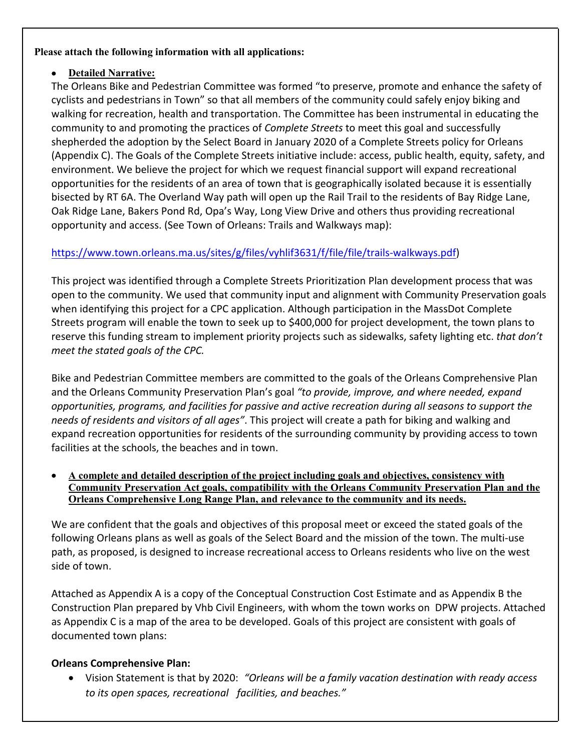#### **Please attach the following information with all applications:**

#### • **Detailed Narrative:**

The Orleans Bike and Pedestrian Committee was formed "to preserve, promote and enhance the safety of cyclists and pedestrians in Town" so that all members of the community could safely enjoy biking and walking for recreation, health and transportation. The Committee has been instrumental in educating the community to and promoting the practices of *Complete Streets* to meet this goal and successfully shepherded the adoption by the Select Board in January 2020 of a Complete Streets policy for Orleans (Appendix C). The Goals of the Complete Streets initiative include: access, public health, equity, safety, and environment. We believe the project for which we request financial support will expand recreational opportunities for the residents of an area of town that is geographically isolated because it is essentially bisected by RT 6A. The Overland Way path will open up the Rail Trail to the residents of Bay Ridge Lane, Oak Ridge Lane, Bakers Pond Rd, Opa's Way, Long View Drive and others thus providing recreational opportunity and access. (See Town of Orleans: Trails and Walkways map):

### https://www.town.orleans.ma.us/sites/g/files/vyhlif3631/f/file/file/trails-walkways.pdf)

This project was identified through a Complete Streets Prioritization Plan development process that was open to the community. We used that community input and alignment with Community Preservation goals when identifying this project for a CPC application. Although participation in the MassDot Complete Streets program will enable the town to seek up to \$400,000 for project development, the town plans to reserve this funding stream to implement priority projects such as sidewalks, safety lighting etc. *that don't meet the stated goals of the CPC.*

Bike and Pedestrian Committee members are committed to the goals of the Orleans Comprehensive Plan and the Orleans Community Preservation Plan's goal *"to provide, improve, and where needed, expand opportunities, programs, and facilities for passive and active recreation during all seasons to support the needs of residents and visitors of all ages"*. This project will create a path for biking and walking and expand recreation opportunities for residents of the surrounding community by providing access to town facilities at the schools, the beaches and in town.

• **A complete and detailed description of the project including goals and objectives, consistency with Community Preservation Act goals, compatibility with the Orleans Community Preservation Plan and the Orleans Comprehensive Long Range Plan, and relevance to the community and its needs.**

We are confident that the goals and objectives of this proposal meet or exceed the stated goals of the following Orleans plans as well as goals of the Select Board and the mission of the town. The multi-use path, as proposed, is designed to increase recreational access to Orleans residents who live on the west side of town.

Attached as Appendix A is a copy of the Conceptual Construction Cost Estimate and as Appendix B the Construction Plan prepared by Vhb Civil Engineers, with whom the town works on DPW projects. Attached as Appendix C is a map of the area to be developed. Goals of this project are consistent with goals of documented town plans:

#### **Orleans Comprehensive Plan:**

• Vision Statement is that by 2020: *"Orleans will be a family vacation destination with ready access to its open spaces, recreational facilities, and beaches."*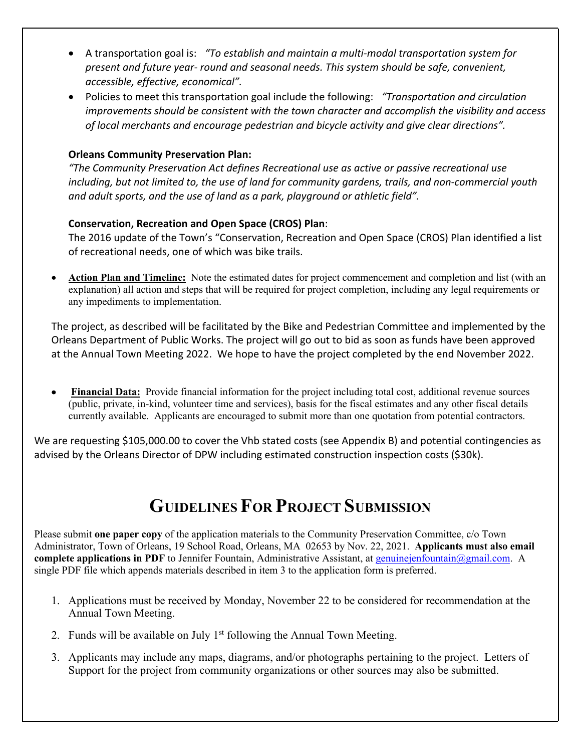- A transportation goal is: *"To establish and maintain a multi-modal transportation system for present and future year- round and seasonal needs. This system should be safe, convenient, accessible, effective, economical".*
- Policies to meet this transportation goal include the following: *"Transportation and circulation improvements should be consistent with the town character and accomplish the visibility and access of local merchants and encourage pedestrian and bicycle activity and give clear directions".*

#### **Orleans Community Preservation Plan:**

*"The Community Preservation Act defines Recreational use as active or passive recreational use including, but not limited to, the use of land for community gardens, trails, and non-commercial youth and adult sports, and the use of land as a park, playground or athletic field".* 

#### **Conservation, Recreation and Open Space (CROS) Plan**:

The 2016 update of the Town's "Conservation, Recreation and Open Space (CROS) Plan identified a list of recreational needs, one of which was bike trails.

• **Action Plan and Timeline:** Note the estimated dates for project commencement and completion and list (with an explanation) all action and steps that will be required for project completion, including any legal requirements or any impediments to implementation.

The project, as described will be facilitated by the Bike and Pedestrian Committee and implemented by the Orleans Department of Public Works. The project will go out to bid as soon as funds have been approved at the Annual Town Meeting 2022. We hope to have the project completed by the end November 2022.

• **Financial Data:** Provide financial information for the project including total cost, additional revenue sources (public, private, in-kind, volunteer time and services), basis for the fiscal estimates and any other fiscal details currently available. Applicants are encouraged to submit more than one quotation from potential contractors.

We are requesting \$105,000.00 to cover the Vhb stated costs (see Appendix B) and potential contingencies as advised by the Orleans Director of DPW including estimated construction inspection costs (\$30k).

### **GUIDELINES FOR PROJECT SUBMISSION**

Please submit **one paper copy** of the application materials to the Community Preservation Committee, c/o Town Administrator, Town of Orleans, 19 School Road, Orleans, MA 02653 by Nov. 22, 2021. **Applicants must also email complete applications in PDF** to Jennifer Fountain, Administrative Assistant, at genuinejenfountain@gmail.com. A single PDF file which appends materials described in item 3 to the application form is preferred.

- 1. Applications must be received by Monday, November 22 to be considered for recommendation at the Annual Town Meeting.
- 2. Funds will be available on July  $1<sup>st</sup>$  following the Annual Town Meeting.
- 3. Applicants may include any maps, diagrams, and/or photographs pertaining to the project. Letters of Support for the project from community organizations or other sources may also be submitted.